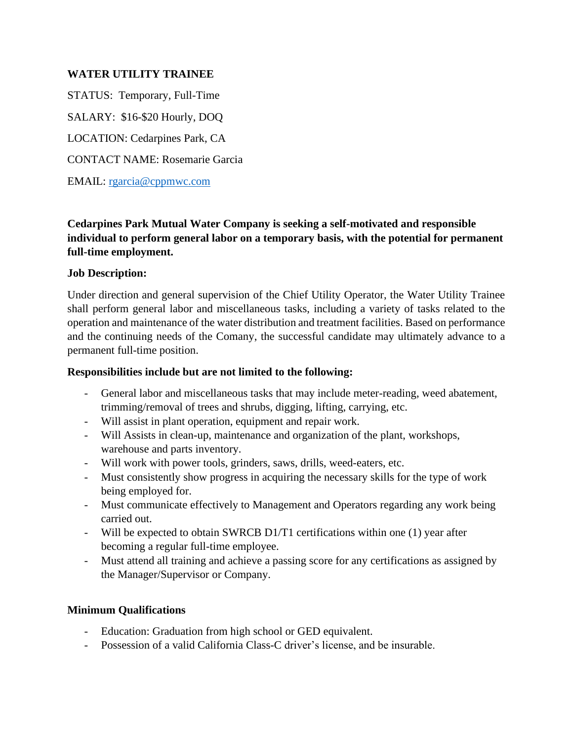#### **WATER UTILITY TRAINEE**

STATUS: Temporary, Full-Time SALARY: \$16-\$20 Hourly, DOQ LOCATION: Cedarpines Park, CA CONTACT NAME: Rosemarie Garcia EMAIL: [rgarcia@cppmwc.com](mailto:rgarcia@cppmwc.com)

# **Cedarpines Park Mutual Water Company is seeking a self-motivated and responsible individual to perform general labor on a temporary basis, with the potential for permanent full-time employment.**

#### **Job Description:**

Under direction and general supervision of the Chief Utility Operator, the Water Utility Trainee shall perform general labor and miscellaneous tasks, including a variety of tasks related to the operation and maintenance of the water distribution and treatment facilities. Based on performance and the continuing needs of the Comany, the successful candidate may ultimately advance to a permanent full-time position.

#### **Responsibilities include but are not limited to the following:**

- General labor and miscellaneous tasks that may include meter-reading, weed abatement, trimming/removal of trees and shrubs, digging, lifting, carrying, etc.
- Will assist in plant operation, equipment and repair work.
- Will Assists in clean-up, maintenance and organization of the plant, workshops, warehouse and parts inventory.
- Will work with power tools, grinders, saws, drills, weed-eaters, etc.
- Must consistently show progress in acquiring the necessary skills for the type of work being employed for.
- Must communicate effectively to Management and Operators regarding any work being carried out.
- Will be expected to obtain SWRCB D1/T1 certifications within one (1) year after becoming a regular full-time employee.
- Must attend all training and achieve a passing score for any certifications as assigned by the Manager/Supervisor or Company.

### **Minimum Qualifications**

- Education: Graduation from high school or GED equivalent.
- Possession of a valid California Class-C driver's license, and be insurable.